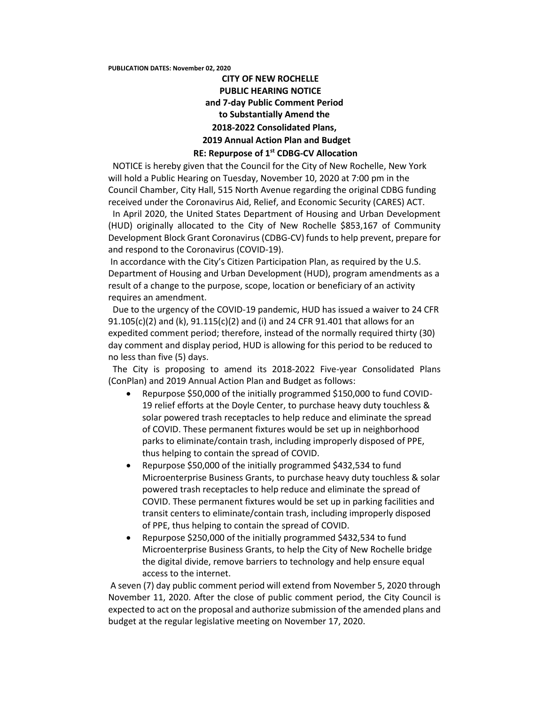## **CITY OF NEW ROCHELLE PUBLIC HEARING NOTICE and 7-day Public Comment Period to Substantially Amend the 2018-2022 Consolidated Plans, 2019 Annual Action Plan and Budget**

## **RE: Repurpose of 1st CDBG-CV Allocation**

 NOTICE is hereby given that the Council for the City of New Rochelle, New York will hold a Public Hearing on Tuesday, November 10, 2020 at 7:00 pm in the Council Chamber, City Hall, 515 North Avenue regarding the original CDBG funding received under the Coronavirus Aid, Relief, and Economic Security (CARES) ACT.

 In April 2020, the United States Department of Housing and Urban Development (HUD) originally allocated to the City of New Rochelle \$853,167 of Community Development Block Grant Coronavirus (CDBG-CV) funds to help prevent, prepare for and respond to the Coronavirus (COVID-19).

In accordance with the City's Citizen Participation Plan, as required by the U.S. Department of Housing and Urban Development (HUD), program amendments as a result of a change to the purpose, scope, location or beneficiary of an activity requires an amendment.

 Due to the urgency of the COVID-19 pandemic, HUD has issued a waiver to 24 CFR 91.105(c)(2) and (k), 91.115(c)(2) and (i) and 24 CFR 91.401 that allows for an expedited comment period; therefore, instead of the normally required thirty (30) day comment and display period, HUD is allowing for this period to be reduced to no less than five (5) days.

 The City is proposing to amend its 2018-2022 Five-year Consolidated Plans (ConPlan) and 2019 Annual Action Plan and Budget as follows:

- Repurpose \$50,000 of the initially programmed \$150,000 to fund COVID-19 relief efforts at the Doyle Center, to purchase heavy duty touchless & solar powered trash receptacles to help reduce and eliminate the spread of COVID. These permanent fixtures would be set up in neighborhood parks to eliminate/contain trash, including improperly disposed of PPE, thus helping to contain the spread of COVID.
- Repurpose \$50,000 of the initially programmed \$432,534 to fund Microenterprise Business Grants, to purchase heavy duty touchless & solar powered trash receptacles to help reduce and eliminate the spread of COVID. These permanent fixtures would be set up in parking facilities and transit centers to eliminate/contain trash, including improperly disposed of PPE, thus helping to contain the spread of COVID.
- Repurpose \$250,000 of the initially programmed \$432,534 to fund Microenterprise Business Grants, to help the City of New Rochelle bridge the digital divide, remove barriers to technology and help ensure equal access to the internet.

A seven (7) day public comment period will extend from November 5, 2020 through November 11, 2020. After the close of public comment period, the City Council is expected to act on the proposal and authorize submission of the amended plans and budget at the regular legislative meeting on November 17, 2020.